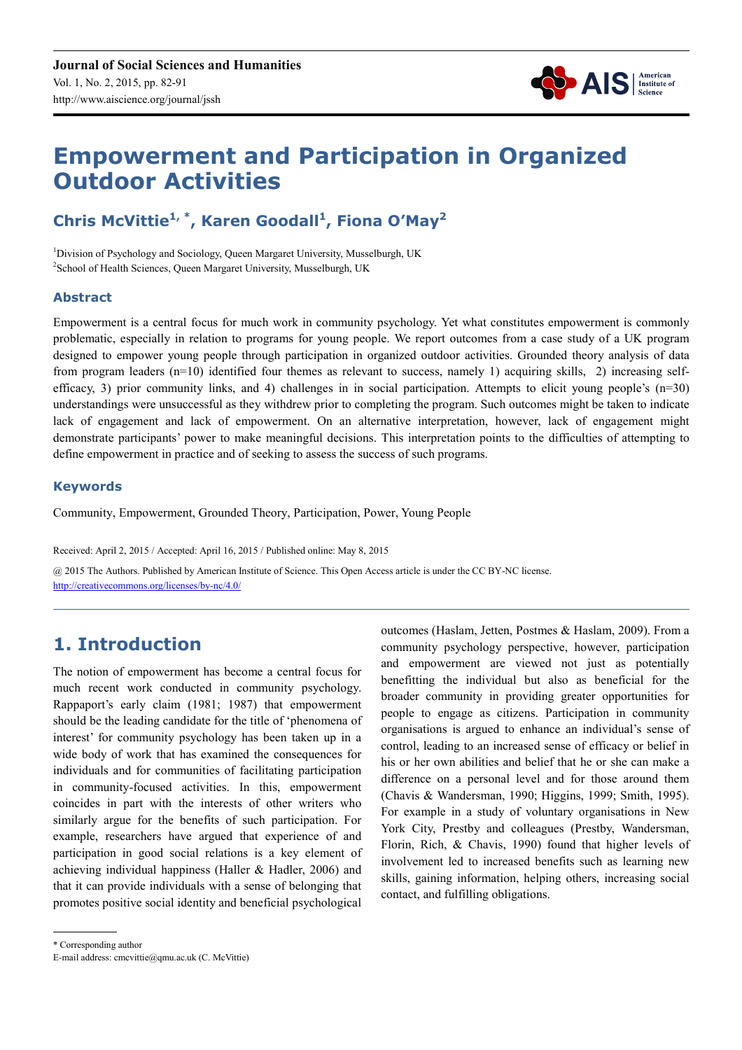

# **Empowerment and Participation in Organized Outdoor Activities**

## **Chris McVittie1, \*, Karen Goodall<sup>1</sup> , Fiona O'May<sup>2</sup>**

<sup>1</sup>Division of Psychology and Sociology, Queen Margaret University, Musselburgh, UK <sup>2</sup> School of Health Sciences, Queen Margaret University, Musselburgh, UK

#### **Abstract**

Empowerment is a central focus for much work in community psychology. Yet what constitutes empowerment is commonly problematic, especially in relation to programs for young people. We report outcomes from a case study of a UK program designed to empower young people through participation in organized outdoor activities. Grounded theory analysis of data from program leaders (n=10) identified four themes as relevant to success, namely 1) acquiring skills, 2) increasing selfefficacy, 3) prior community links, and 4) challenges in in social participation. Attempts to elicit young people's  $(n=30)$ understandings were unsuccessful as they withdrew prior to completing the program. Such outcomes might be taken to indicate lack of engagement and lack of empowerment. On an alternative interpretation, however, lack of engagement might demonstrate participants' power to make meaningful decisions. This interpretation points to the difficulties of attempting to define empowerment in practice and of seeking to assess the success of such programs.

#### **Keywords**

Community, Empowerment, Grounded Theory, Participation, Power, Young People

Received: April 2, 2015 / Accepted: April 16, 2015 / Published online: May 8, 2015 @ 2015 The Authors. Published by American Institute of Science. This Open Access article is under the CC BY-NC license. http://creativecommons.org/licenses/by-nc/4.0/

# **1. Introduction**

The notion of empowerment has become a central focus for much recent work conducted in community psychology. Rappaport's early claim (1981; 1987) that empowerment should be the leading candidate for the title of 'phenomena of interest' for community psychology has been taken up in a wide body of work that has examined the consequences for individuals and for communities of facilitating participation in community-focused activities. In this, empowerment coincides in part with the interests of other writers who similarly argue for the benefits of such participation. For example, researchers have argued that experience of and participation in good social relations is a key element of achieving individual happiness (Haller & Hadler, 2006) and that it can provide individuals with a sense of belonging that promotes positive social identity and beneficial psychological outcomes (Haslam, Jetten, Postmes & Haslam, 2009). From a community psychology perspective, however, participation and empowerment are viewed not just as potentially benefitting the individual but also as beneficial for the broader community in providing greater opportunities for people to engage as citizens. Participation in community organisations is argued to enhance an individual's sense of control, leading to an increased sense of efficacy or belief in his or her own abilities and belief that he or she can make a difference on a personal level and for those around them (Chavis & Wandersman, 1990; Higgins, 1999; Smith, 1995). For example in a study of voluntary organisations in New York City, Prestby and colleagues (Prestby, Wandersman, Florin, Rich, & Chavis, 1990) found that higher levels of involvement led to increased benefits such as learning new skills, gaining information, helping others, increasing social contact, and fulfilling obligations.

\* Corresponding author

E-mail address: cmcvittie@qmu.ac.uk (C. McVittie)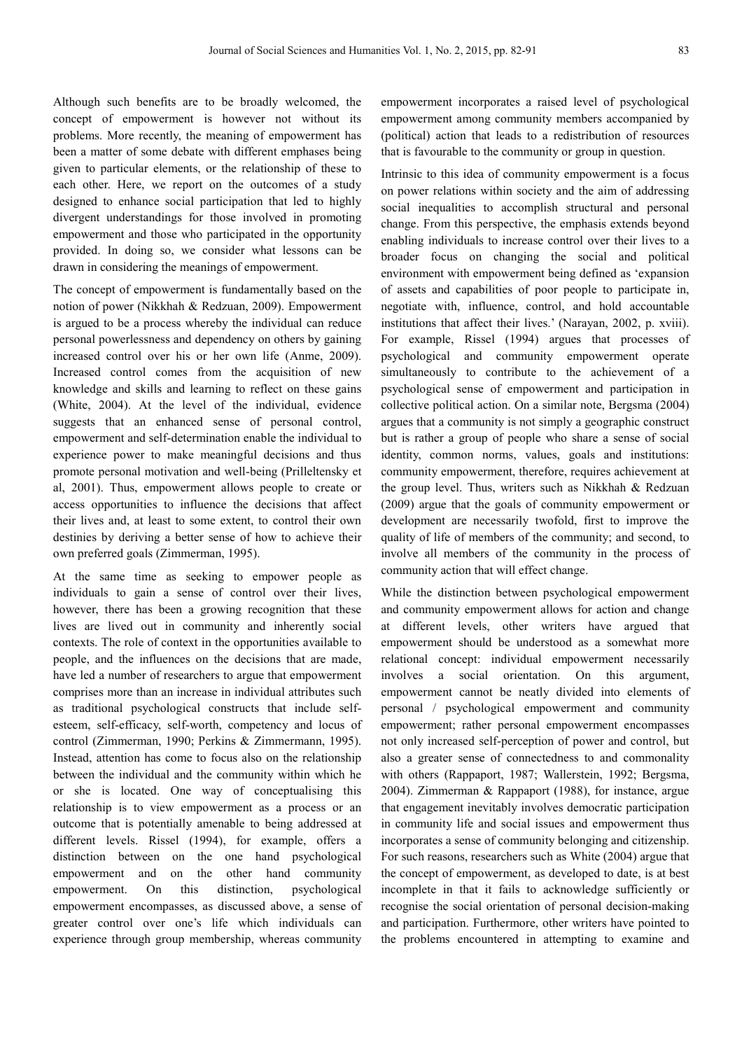Although such benefits are to be broadly welcomed, the concept of empowerment is however not without its problems. More recently, the meaning of empowerment has been a matter of some debate with different emphases being given to particular elements, or the relationship of these to each other. Here, we report on the outcomes of a study designed to enhance social participation that led to highly divergent understandings for those involved in promoting empowerment and those who participated in the opportunity provided. In doing so, we consider what lessons can be drawn in considering the meanings of empowerment.

The concept of empowerment is fundamentally based on the notion of power (Nikkhah & Redzuan, 2009). Empowerment is argued to be a process whereby the individual can reduce personal powerlessness and dependency on others by gaining increased control over his or her own life (Anme, 2009). Increased control comes from the acquisition of new knowledge and skills and learning to reflect on these gains (White, 2004). At the level of the individual, evidence suggests that an enhanced sense of personal control, empowerment and self-determination enable the individual to experience power to make meaningful decisions and thus promote personal motivation and well-being (Prilleltensky et al, 2001). Thus, empowerment allows people to create or access opportunities to influence the decisions that affect their lives and, at least to some extent, to control their own destinies by deriving a better sense of how to achieve their own preferred goals (Zimmerman, 1995).

At the same time as seeking to empower people as individuals to gain a sense of control over their lives, however, there has been a growing recognition that these lives are lived out in community and inherently social contexts. The role of context in the opportunities available to people, and the influences on the decisions that are made, have led a number of researchers to argue that empowerment comprises more than an increase in individual attributes such as traditional psychological constructs that include selfesteem, self-efficacy, self-worth, competency and locus of control (Zimmerman, 1990; Perkins & Zimmermann, 1995). Instead, attention has come to focus also on the relationship between the individual and the community within which he or she is located. One way of conceptualising this relationship is to view empowerment as a process or an outcome that is potentially amenable to being addressed at different levels. Rissel (1994), for example, offers a distinction between on the one hand psychological empowerment and on the other hand community empowerment. On this distinction, psychological empowerment encompasses, as discussed above, a sense of greater control over one's life which individuals can experience through group membership, whereas community empowerment incorporates a raised level of psychological empowerment among community members accompanied by (political) action that leads to a redistribution of resources that is favourable to the community or group in question.

Intrinsic to this idea of community empowerment is a focus on power relations within society and the aim of addressing social inequalities to accomplish structural and personal change. From this perspective, the emphasis extends beyond enabling individuals to increase control over their lives to a broader focus on changing the social and political environment with empowerment being defined as 'expansion of assets and capabilities of poor people to participate in, negotiate with, influence, control, and hold accountable institutions that affect their lives.' (Narayan, 2002, p. xviii). For example, Rissel (1994) argues that processes of psychological and community empowerment operate simultaneously to contribute to the achievement of a psychological sense of empowerment and participation in collective political action. On a similar note, Bergsma (2004) argues that a community is not simply a geographic construct but is rather a group of people who share a sense of social identity, common norms, values, goals and institutions: community empowerment, therefore, requires achievement at the group level. Thus, writers such as Nikkhah & Redzuan (2009) argue that the goals of community empowerment or development are necessarily twofold, first to improve the quality of life of members of the community; and second, to involve all members of the community in the process of community action that will effect change.

While the distinction between psychological empowerment and community empowerment allows for action and change at different levels, other writers have argued that empowerment should be understood as a somewhat more relational concept: individual empowerment necessarily involves a social orientation. On this argument, empowerment cannot be neatly divided into elements of personal / psychological empowerment and community empowerment; rather personal empowerment encompasses not only increased self-perception of power and control, but also a greater sense of connectedness to and commonality with others (Rappaport, 1987; Wallerstein, 1992; Bergsma, 2004). Zimmerman & Rappaport (1988), for instance, argue that engagement inevitably involves democratic participation in community life and social issues and empowerment thus incorporates a sense of community belonging and citizenship. For such reasons, researchers such as White (2004) argue that the concept of empowerment, as developed to date, is at best incomplete in that it fails to acknowledge sufficiently or recognise the social orientation of personal decision-making and participation. Furthermore, other writers have pointed to the problems encountered in attempting to examine and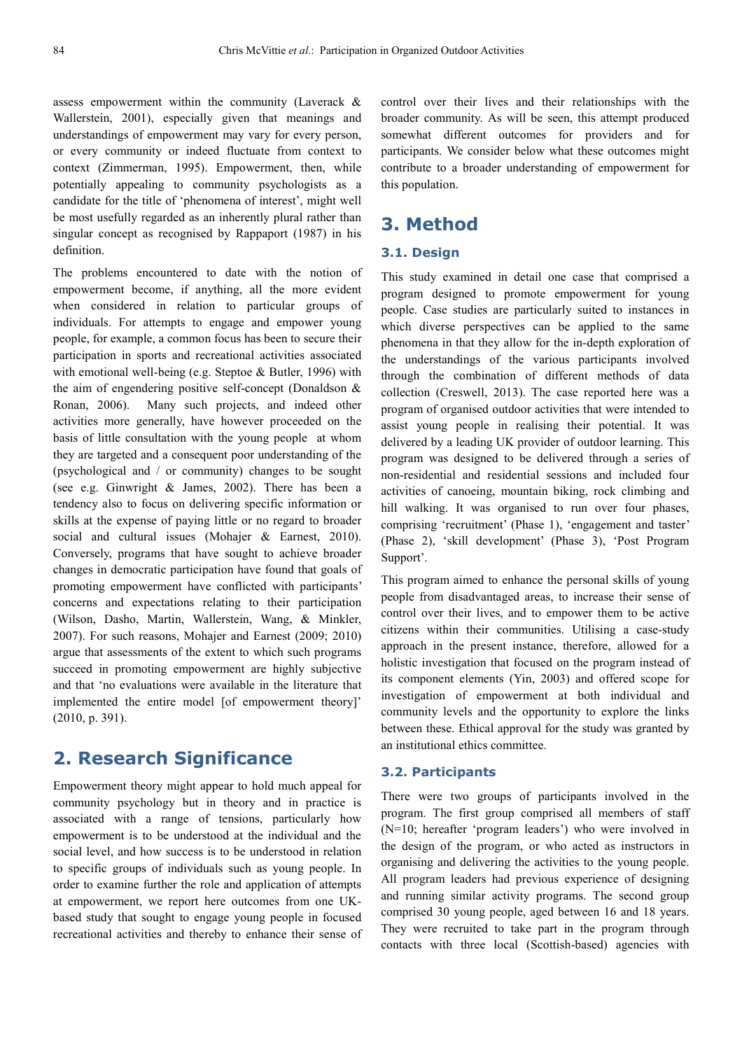assess empowerment within the community (Laverack & Wallerstein, 2001), especially given that meanings and understandings of empowerment may vary for every person, or every community or indeed fluctuate from context to context (Zimmerman, 1995). Empowerment, then, while potentially appealing to community psychologists as a candidate for the title of 'phenomena of interest', might well be most usefully regarded as an inherently plural rather than singular concept as recognised by Rappaport (1987) in his definition.

The problems encountered to date with the notion of empowerment become, if anything, all the more evident when considered in relation to particular groups of individuals. For attempts to engage and empower young people, for example, a common focus has been to secure their participation in sports and recreational activities associated with emotional well-being (e.g. Steptoe & Butler, 1996) with the aim of engendering positive self-concept (Donaldson & Ronan, 2006). Many such projects, and indeed other activities more generally, have however proceeded on the basis of little consultation with the young people at whom they are targeted and a consequent poor understanding of the (psychological and / or community) changes to be sought (see e.g. Ginwright & James, 2002). There has been a tendency also to focus on delivering specific information or skills at the expense of paying little or no regard to broader social and cultural issues (Mohajer & Earnest, 2010). Conversely, programs that have sought to achieve broader changes in democratic participation have found that goals of promoting empowerment have conflicted with participants' concerns and expectations relating to their participation (Wilson, Dasho, Martin, Wallerstein, Wang, & Minkler, 2007). For such reasons, Mohajer and Earnest (2009; 2010) argue that assessments of the extent to which such programs succeed in promoting empowerment are highly subjective and that 'no evaluations were available in the literature that implemented the entire model [of empowerment theory]' (2010, p. 391).

### **2. Research Significance**

Empowerment theory might appear to hold much appeal for community psychology but in theory and in practice is associated with a range of tensions, particularly how empowerment is to be understood at the individual and the social level, and how success is to be understood in relation to specific groups of individuals such as young people. In order to examine further the role and application of attempts at empowerment, we report here outcomes from one UKbased study that sought to engage young people in focused recreational activities and thereby to enhance their sense of control over their lives and their relationships with the broader community. As will be seen, this attempt produced somewhat different outcomes for providers and for participants. We consider below what these outcomes might contribute to a broader understanding of empowerment for this population.

### **3. Method**

#### **3.1. Design**

This study examined in detail one case that comprised a program designed to promote empowerment for young people. Case studies are particularly suited to instances in which diverse perspectives can be applied to the same phenomena in that they allow for the in-depth exploration of the understandings of the various participants involved through the combination of different methods of data collection (Creswell, 2013). The case reported here was a program of organised outdoor activities that were intended to assist young people in realising their potential. It was delivered by a leading UK provider of outdoor learning. This program was designed to be delivered through a series of non-residential and residential sessions and included four activities of canoeing, mountain biking, rock climbing and hill walking. It was organised to run over four phases, comprising 'recruitment' (Phase 1), 'engagement and taster' (Phase 2), 'skill development' (Phase 3), 'Post Program Support'.

This program aimed to enhance the personal skills of young people from disadvantaged areas, to increase their sense of control over their lives, and to empower them to be active citizens within their communities. Utilising a case-study approach in the present instance, therefore, allowed for a holistic investigation that focused on the program instead of its component elements (Yin, 2003) and offered scope for investigation of empowerment at both individual and community levels and the opportunity to explore the links between these. Ethical approval for the study was granted by an institutional ethics committee.

#### **3.2. Participants**

There were two groups of participants involved in the program. The first group comprised all members of staff (N=10; hereafter 'program leaders') who were involved in the design of the program, or who acted as instructors in organising and delivering the activities to the young people. All program leaders had previous experience of designing and running similar activity programs. The second group comprised 30 young people, aged between 16 and 18 years. They were recruited to take part in the program through contacts with three local (Scottish-based) agencies with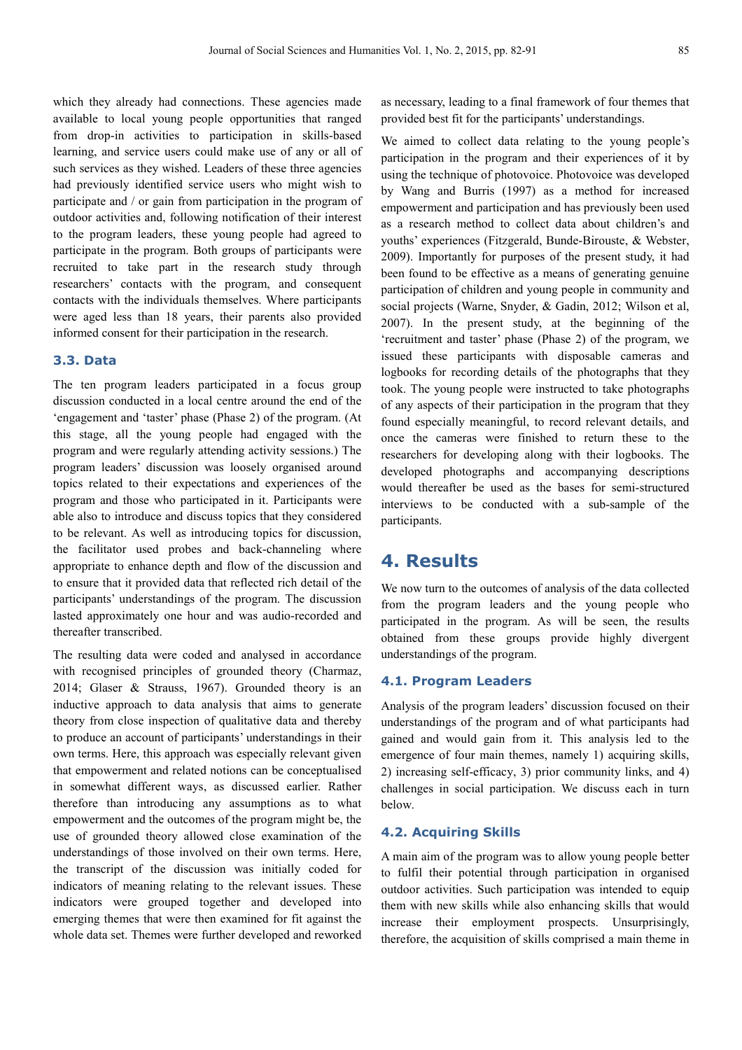which they already had connections. These agencies made available to local young people opportunities that ranged from drop-in activities to participation in skills-based learning, and service users could make use of any or all of such services as they wished. Leaders of these three agencies had previously identified service users who might wish to participate and / or gain from participation in the program of outdoor activities and, following notification of their interest to the program leaders, these young people had agreed to participate in the program. Both groups of participants were recruited to take part in the research study through researchers' contacts with the program, and consequent contacts with the individuals themselves. Where participants were aged less than 18 years, their parents also provided informed consent for their participation in the research.

#### **3.3. Data**

The ten program leaders participated in a focus group discussion conducted in a local centre around the end of the 'engagement and 'taster' phase (Phase 2) of the program. (At this stage, all the young people had engaged with the program and were regularly attending activity sessions.) The program leaders' discussion was loosely organised around topics related to their expectations and experiences of the program and those who participated in it. Participants were able also to introduce and discuss topics that they considered to be relevant. As well as introducing topics for discussion, the facilitator used probes and back-channeling where appropriate to enhance depth and flow of the discussion and to ensure that it provided data that reflected rich detail of the participants' understandings of the program. The discussion lasted approximately one hour and was audio-recorded and thereafter transcribed.

The resulting data were coded and analysed in accordance with recognised principles of grounded theory (Charmaz, 2014; Glaser & Strauss, 1967). Grounded theory is an inductive approach to data analysis that aims to generate theory from close inspection of qualitative data and thereby to produce an account of participants' understandings in their own terms. Here, this approach was especially relevant given that empowerment and related notions can be conceptualised in somewhat different ways, as discussed earlier. Rather therefore than introducing any assumptions as to what empowerment and the outcomes of the program might be, the use of grounded theory allowed close examination of the understandings of those involved on their own terms. Here, the transcript of the discussion was initially coded for indicators of meaning relating to the relevant issues. These indicators were grouped together and developed into emerging themes that were then examined for fit against the whole data set. Themes were further developed and reworked as necessary, leading to a final framework of four themes that provided best fit for the participants' understandings.

We aimed to collect data relating to the young people's participation in the program and their experiences of it by using the technique of photovoice. Photovoice was developed by Wang and Burris (1997) as a method for increased empowerment and participation and has previously been used as a research method to collect data about children's and youths' experiences (Fitzgerald, Bunde-Birouste, & Webster, 2009). Importantly for purposes of the present study, it had been found to be effective as a means of generating genuine participation of children and young people in community and social projects (Warne, Snyder, & Gadin, 2012; Wilson et al, 2007). In the present study, at the beginning of the 'recruitment and taster' phase (Phase 2) of the program, we issued these participants with disposable cameras and logbooks for recording details of the photographs that they took. The young people were instructed to take photographs of any aspects of their participation in the program that they found especially meaningful, to record relevant details, and once the cameras were finished to return these to the researchers for developing along with their logbooks. The developed photographs and accompanying descriptions would thereafter be used as the bases for semi-structured interviews to be conducted with a sub-sample of the participants.

### **4. Results**

We now turn to the outcomes of analysis of the data collected from the program leaders and the young people who participated in the program. As will be seen, the results obtained from these groups provide highly divergent understandings of the program.

#### **4.1. Program Leaders**

Analysis of the program leaders' discussion focused on their understandings of the program and of what participants had gained and would gain from it. This analysis led to the emergence of four main themes, namely 1) acquiring skills, 2) increasing self-efficacy, 3) prior community links, and 4) challenges in social participation. We discuss each in turn below.

#### **4.2. Acquiring Skills**

A main aim of the program was to allow young people better to fulfil their potential through participation in organised outdoor activities. Such participation was intended to equip them with new skills while also enhancing skills that would increase their employment prospects. Unsurprisingly, therefore, the acquisition of skills comprised a main theme in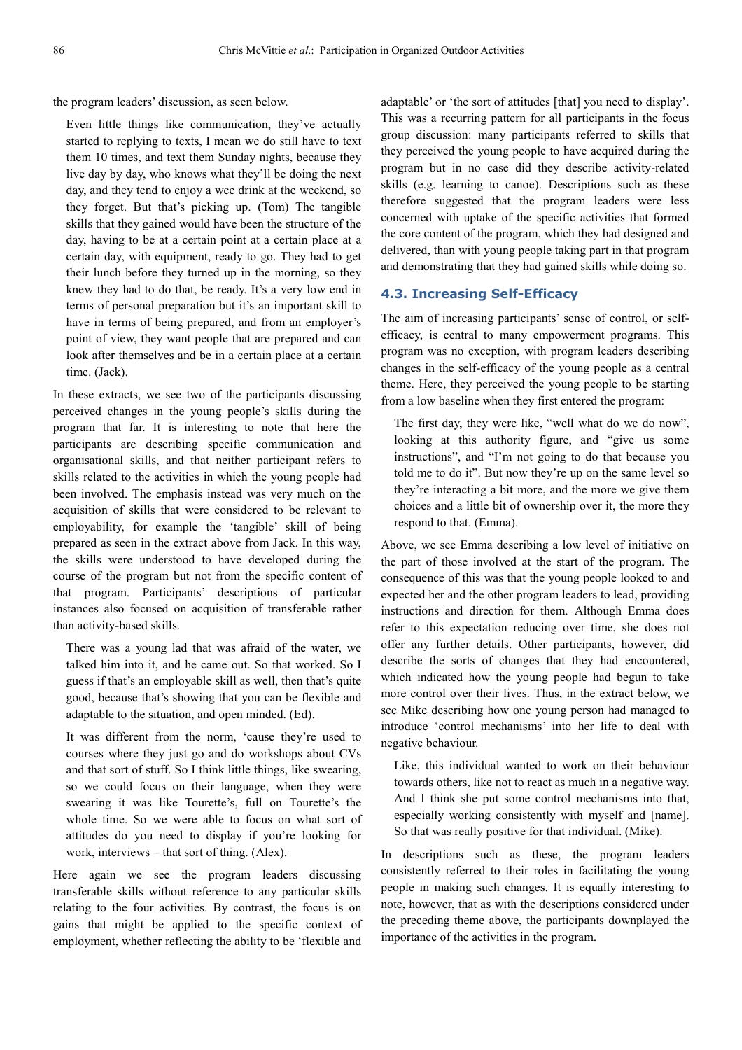the program leaders' discussion, as seen below.

Even little things like communication, they've actually started to replying to texts, I mean we do still have to text them 10 times, and text them Sunday nights, because they live day by day, who knows what they'll be doing the next day, and they tend to enjoy a wee drink at the weekend, so they forget. But that's picking up. (Tom) The tangible skills that they gained would have been the structure of the day, having to be at a certain point at a certain place at a certain day, with equipment, ready to go. They had to get their lunch before they turned up in the morning, so they knew they had to do that, be ready. It's a very low end in terms of personal preparation but it's an important skill to have in terms of being prepared, and from an employer's point of view, they want people that are prepared and can look after themselves and be in a certain place at a certain time. (Jack).

In these extracts, we see two of the participants discussing perceived changes in the young people's skills during the program that far. It is interesting to note that here the participants are describing specific communication and organisational skills, and that neither participant refers to skills related to the activities in which the young people had been involved. The emphasis instead was very much on the acquisition of skills that were considered to be relevant to employability, for example the 'tangible' skill of being prepared as seen in the extract above from Jack. In this way, the skills were understood to have developed during the course of the program but not from the specific content of that program. Participants' descriptions of particular instances also focused on acquisition of transferable rather than activity-based skills.

There was a young lad that was afraid of the water, we talked him into it, and he came out. So that worked. So I guess if that's an employable skill as well, then that's quite good, because that's showing that you can be flexible and adaptable to the situation, and open minded. (Ed).

It was different from the norm, 'cause they're used to courses where they just go and do workshops about CVs and that sort of stuff. So I think little things, like swearing, so we could focus on their language, when they were swearing it was like Tourette's, full on Tourette's the whole time. So we were able to focus on what sort of attitudes do you need to display if you're looking for work, interviews – that sort of thing. (Alex).

Here again we see the program leaders discussing transferable skills without reference to any particular skills relating to the four activities. By contrast, the focus is on gains that might be applied to the specific context of employment, whether reflecting the ability to be 'flexible and adaptable' or 'the sort of attitudes [that] you need to display'. This was a recurring pattern for all participants in the focus group discussion: many participants referred to skills that they perceived the young people to have acquired during the program but in no case did they describe activity-related skills (e.g. learning to canoe). Descriptions such as these therefore suggested that the program leaders were less concerned with uptake of the specific activities that formed the core content of the program, which they had designed and delivered, than with young people taking part in that program and demonstrating that they had gained skills while doing so.

#### **4.3. Increasing Self-Efficacy**

The aim of increasing participants' sense of control, or selfefficacy, is central to many empowerment programs. This program was no exception, with program leaders describing changes in the self-efficacy of the young people as a central theme. Here, they perceived the young people to be starting from a low baseline when they first entered the program:

The first day, they were like, "well what do we do now", looking at this authority figure, and "give us some instructions", and "I'm not going to do that because you told me to do it". But now they're up on the same level so they're interacting a bit more, and the more we give them choices and a little bit of ownership over it, the more they respond to that. (Emma).

Above, we see Emma describing a low level of initiative on the part of those involved at the start of the program. The consequence of this was that the young people looked to and expected her and the other program leaders to lead, providing instructions and direction for them. Although Emma does refer to this expectation reducing over time, she does not offer any further details. Other participants, however, did describe the sorts of changes that they had encountered, which indicated how the young people had begun to take more control over their lives. Thus, in the extract below, we see Mike describing how one young person had managed to introduce 'control mechanisms' into her life to deal with negative behaviour.

Like, this individual wanted to work on their behaviour towards others, like not to react as much in a negative way. And I think she put some control mechanisms into that, especially working consistently with myself and [name]. So that was really positive for that individual. (Mike).

In descriptions such as these, the program leaders consistently referred to their roles in facilitating the young people in making such changes. It is equally interesting to note, however, that as with the descriptions considered under the preceding theme above, the participants downplayed the importance of the activities in the program.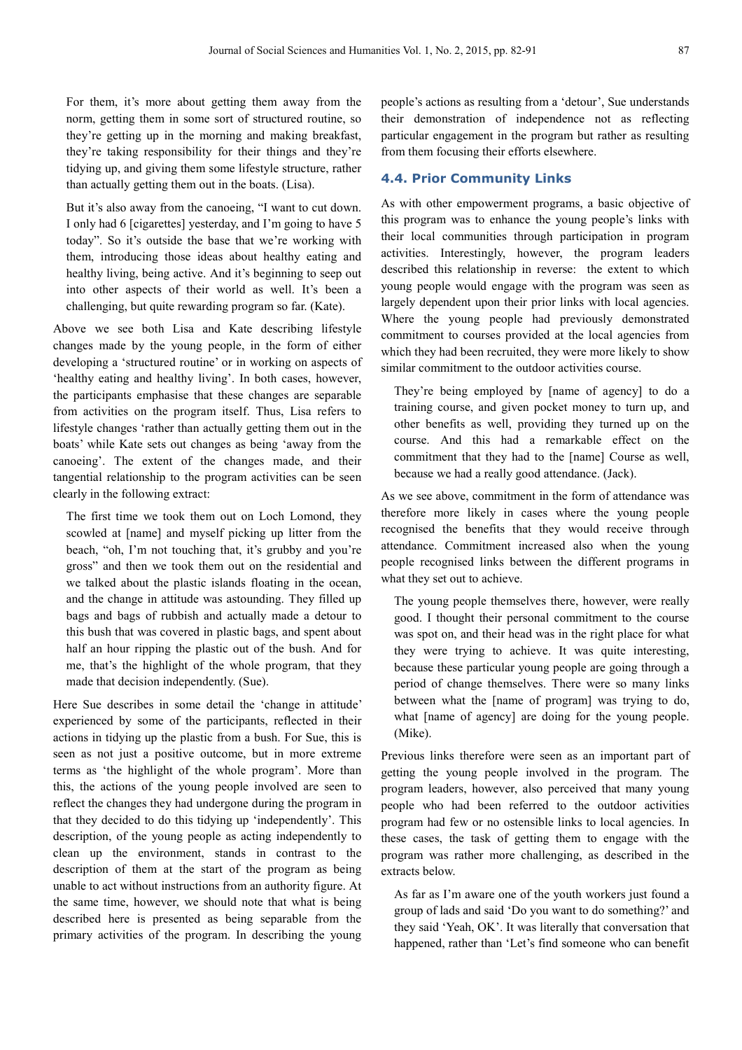For them, it's more about getting them away from the norm, getting them in some sort of structured routine, so they're getting up in the morning and making breakfast, they're taking responsibility for their things and they're tidying up, and giving them some lifestyle structure, rather than actually getting them out in the boats. (Lisa).

But it's also away from the canoeing, "I want to cut down. I only had 6 [cigarettes] yesterday, and I'm going to have 5 today". So it's outside the base that we're working with them, introducing those ideas about healthy eating and healthy living, being active. And it's beginning to seep out into other aspects of their world as well. It's been a challenging, but quite rewarding program so far. (Kate).

Above we see both Lisa and Kate describing lifestyle changes made by the young people, in the form of either developing a 'structured routine' or in working on aspects of 'healthy eating and healthy living'. In both cases, however, the participants emphasise that these changes are separable from activities on the program itself. Thus, Lisa refers to lifestyle changes 'rather than actually getting them out in the boats' while Kate sets out changes as being 'away from the canoeing'. The extent of the changes made, and their tangential relationship to the program activities can be seen clearly in the following extract:

The first time we took them out on Loch Lomond, they scowled at [name] and myself picking up litter from the beach, "oh, I'm not touching that, it's grubby and you're gross" and then we took them out on the residential and we talked about the plastic islands floating in the ocean, and the change in attitude was astounding. They filled up bags and bags of rubbish and actually made a detour to this bush that was covered in plastic bags, and spent about half an hour ripping the plastic out of the bush. And for me, that's the highlight of the whole program, that they made that decision independently. (Sue).

Here Sue describes in some detail the 'change in attitude' experienced by some of the participants, reflected in their actions in tidying up the plastic from a bush. For Sue, this is seen as not just a positive outcome, but in more extreme terms as 'the highlight of the whole program'. More than this, the actions of the young people involved are seen to reflect the changes they had undergone during the program in that they decided to do this tidying up 'independently'. This description, of the young people as acting independently to clean up the environment, stands in contrast to the description of them at the start of the program as being unable to act without instructions from an authority figure. At the same time, however, we should note that what is being described here is presented as being separable from the primary activities of the program. In describing the young people's actions as resulting from a 'detour', Sue understands their demonstration of independence not as reflecting particular engagement in the program but rather as resulting from them focusing their efforts elsewhere.

#### **4.4. Prior Community Links**

As with other empowerment programs, a basic objective of this program was to enhance the young people's links with their local communities through participation in program activities. Interestingly, however, the program leaders described this relationship in reverse: the extent to which young people would engage with the program was seen as largely dependent upon their prior links with local agencies. Where the young people had previously demonstrated commitment to courses provided at the local agencies from which they had been recruited, they were more likely to show similar commitment to the outdoor activities course.

They're being employed by [name of agency] to do a training course, and given pocket money to turn up, and other benefits as well, providing they turned up on the course. And this had a remarkable effect on the commitment that they had to the [name] Course as well, because we had a really good attendance. (Jack).

As we see above, commitment in the form of attendance was therefore more likely in cases where the young people recognised the benefits that they would receive through attendance. Commitment increased also when the young people recognised links between the different programs in what they set out to achieve.

The young people themselves there, however, were really good. I thought their personal commitment to the course was spot on, and their head was in the right place for what they were trying to achieve. It was quite interesting, because these particular young people are going through a period of change themselves. There were so many links between what the [name of program] was trying to do, what [name of agency] are doing for the young people. (Mike).

Previous links therefore were seen as an important part of getting the young people involved in the program. The program leaders, however, also perceived that many young people who had been referred to the outdoor activities program had few or no ostensible links to local agencies. In these cases, the task of getting them to engage with the program was rather more challenging, as described in the extracts below.

As far as I'm aware one of the youth workers just found a group of lads and said 'Do you want to do something?' and they said 'Yeah, OK'. It was literally that conversation that happened, rather than 'Let's find someone who can benefit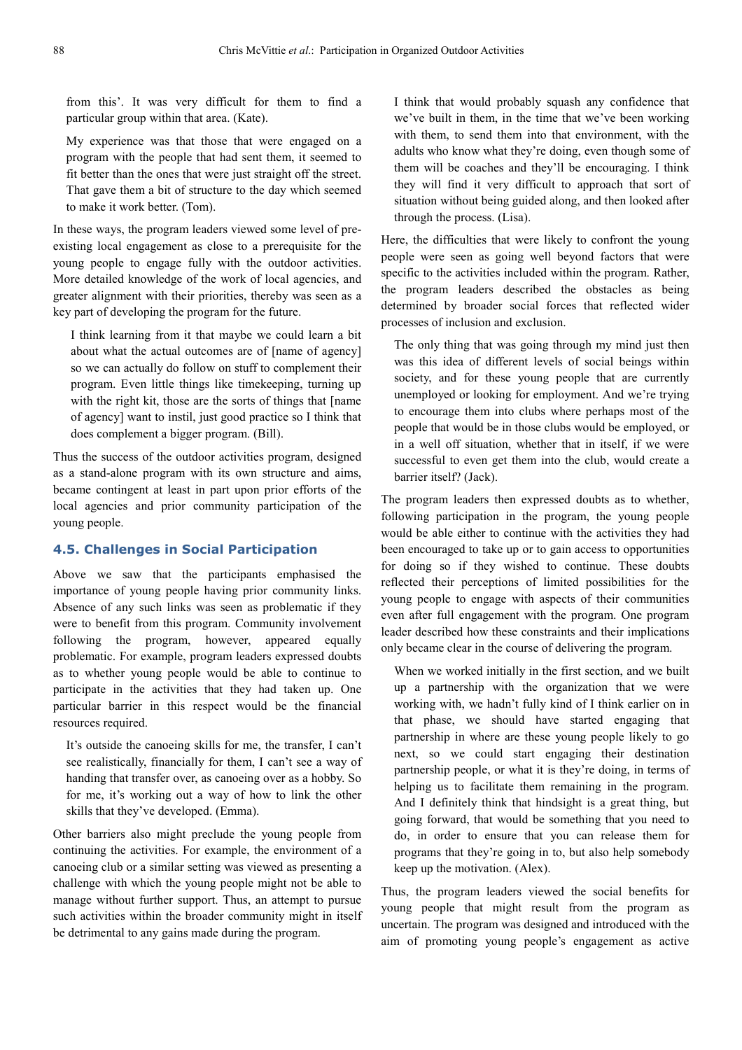from this'. It was very difficult for them to find a particular group within that area. (Kate).

My experience was that those that were engaged on a program with the people that had sent them, it seemed to fit better than the ones that were just straight off the street. That gave them a bit of structure to the day which seemed to make it work better. (Tom).

In these ways, the program leaders viewed some level of preexisting local engagement as close to a prerequisite for the young people to engage fully with the outdoor activities. More detailed knowledge of the work of local agencies, and greater alignment with their priorities, thereby was seen as a key part of developing the program for the future.

I think learning from it that maybe we could learn a bit about what the actual outcomes are of [name of agency] so we can actually do follow on stuff to complement their program. Even little things like timekeeping, turning up with the right kit, those are the sorts of things that [name of agency] want to instil, just good practice so I think that does complement a bigger program. (Bill).

Thus the success of the outdoor activities program, designed as a stand-alone program with its own structure and aims, became contingent at least in part upon prior efforts of the local agencies and prior community participation of the young people.

#### **4.5. Challenges in Social Participation**

Above we saw that the participants emphasised the importance of young people having prior community links. Absence of any such links was seen as problematic if they were to benefit from this program. Community involvement following the program, however, appeared equally problematic. For example, program leaders expressed doubts as to whether young people would be able to continue to participate in the activities that they had taken up. One particular barrier in this respect would be the financial resources required.

It's outside the canoeing skills for me, the transfer, I can't see realistically, financially for them, I can't see a way of handing that transfer over, as canoeing over as a hobby. So for me, it's working out a way of how to link the other skills that they've developed. (Emma).

Other barriers also might preclude the young people from continuing the activities. For example, the environment of a canoeing club or a similar setting was viewed as presenting a challenge with which the young people might not be able to manage without further support. Thus, an attempt to pursue such activities within the broader community might in itself be detrimental to any gains made during the program.

I think that would probably squash any confidence that we've built in them, in the time that we've been working with them, to send them into that environment, with the adults who know what they're doing, even though some of them will be coaches and they'll be encouraging. I think they will find it very difficult to approach that sort of situation without being guided along, and then looked after through the process. (Lisa).

Here, the difficulties that were likely to confront the young people were seen as going well beyond factors that were specific to the activities included within the program. Rather, the program leaders described the obstacles as being determined by broader social forces that reflected wider processes of inclusion and exclusion.

The only thing that was going through my mind just then was this idea of different levels of social beings within society, and for these young people that are currently unemployed or looking for employment. And we're trying to encourage them into clubs where perhaps most of the people that would be in those clubs would be employed, or in a well off situation, whether that in itself, if we were successful to even get them into the club, would create a barrier itself? (Jack).

The program leaders then expressed doubts as to whether, following participation in the program, the young people would be able either to continue with the activities they had been encouraged to take up or to gain access to opportunities for doing so if they wished to continue. These doubts reflected their perceptions of limited possibilities for the young people to engage with aspects of their communities even after full engagement with the program. One program leader described how these constraints and their implications only became clear in the course of delivering the program.

When we worked initially in the first section, and we built up a partnership with the organization that we were working with, we hadn't fully kind of I think earlier on in that phase, we should have started engaging that partnership in where are these young people likely to go next, so we could start engaging their destination partnership people, or what it is they're doing, in terms of helping us to facilitate them remaining in the program. And I definitely think that hindsight is a great thing, but going forward, that would be something that you need to do, in order to ensure that you can release them for programs that they're going in to, but also help somebody keep up the motivation. (Alex).

Thus, the program leaders viewed the social benefits for young people that might result from the program as uncertain. The program was designed and introduced with the aim of promoting young people's engagement as active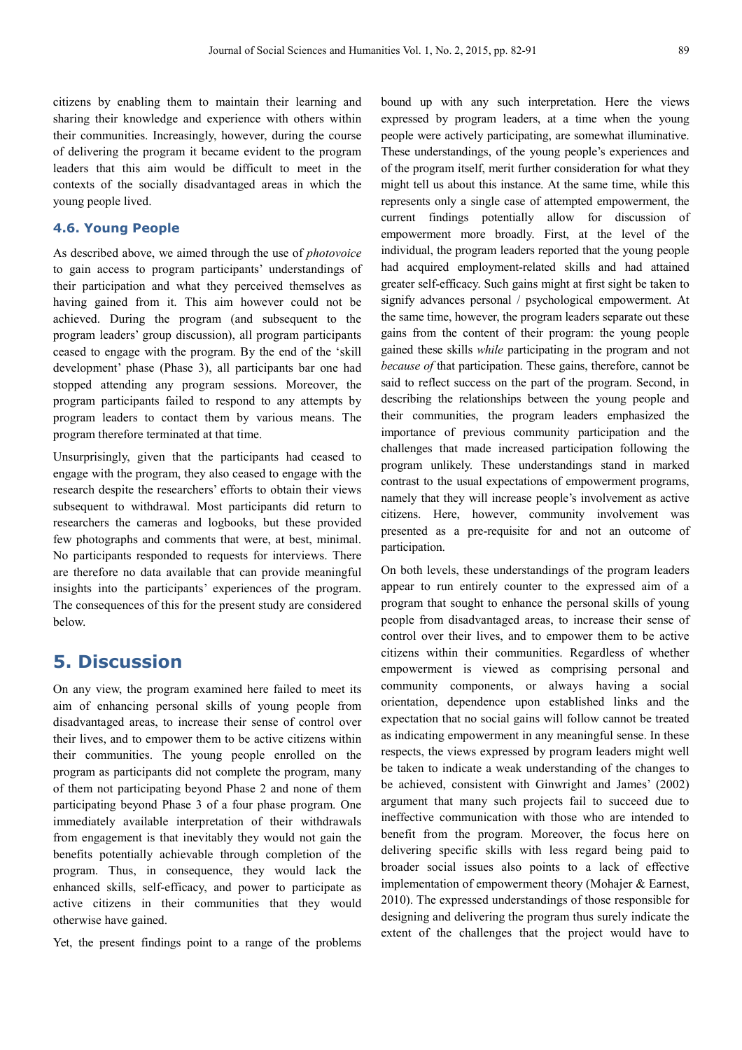citizens by enabling them to maintain their learning and sharing their knowledge and experience with others within their communities. Increasingly, however, during the course of delivering the program it became evident to the program leaders that this aim would be difficult to meet in the contexts of the socially disadvantaged areas in which the young people lived.

#### **4.6. Young People**

As described above, we aimed through the use of *photovoice* to gain access to program participants' understandings of their participation and what they perceived themselves as having gained from it. This aim however could not be achieved. During the program (and subsequent to the program leaders' group discussion), all program participants ceased to engage with the program. By the end of the 'skill development' phase (Phase 3), all participants bar one had stopped attending any program sessions. Moreover, the program participants failed to respond to any attempts by program leaders to contact them by various means. The program therefore terminated at that time.

Unsurprisingly, given that the participants had ceased to engage with the program, they also ceased to engage with the research despite the researchers' efforts to obtain their views subsequent to withdrawal. Most participants did return to researchers the cameras and logbooks, but these provided few photographs and comments that were, at best, minimal. No participants responded to requests for interviews. There are therefore no data available that can provide meaningful insights into the participants' experiences of the program. The consequences of this for the present study are considered below.

### **5. Discussion**

On any view, the program examined here failed to meet its aim of enhancing personal skills of young people from disadvantaged areas, to increase their sense of control over their lives, and to empower them to be active citizens within their communities. The young people enrolled on the program as participants did not complete the program, many of them not participating beyond Phase 2 and none of them participating beyond Phase 3 of a four phase program. One immediately available interpretation of their withdrawals from engagement is that inevitably they would not gain the benefits potentially achievable through completion of the program. Thus, in consequence, they would lack the enhanced skills, self-efficacy, and power to participate as active citizens in their communities that they would otherwise have gained.

Yet, the present findings point to a range of the problems

bound up with any such interpretation. Here the views expressed by program leaders, at a time when the young people were actively participating, are somewhat illuminative. These understandings, of the young people's experiences and of the program itself, merit further consideration for what they might tell us about this instance. At the same time, while this represents only a single case of attempted empowerment, the current findings potentially allow for discussion of empowerment more broadly. First, at the level of the individual, the program leaders reported that the young people had acquired employment-related skills and had attained greater self-efficacy. Such gains might at first sight be taken to signify advances personal / psychological empowerment. At the same time, however, the program leaders separate out these gains from the content of their program: the young people gained these skills *while* participating in the program and not *because of* that participation. These gains, therefore, cannot be said to reflect success on the part of the program. Second, in describing the relationships between the young people and their communities, the program leaders emphasized the importance of previous community participation and the challenges that made increased participation following the program unlikely. These understandings stand in marked contrast to the usual expectations of empowerment programs, namely that they will increase people's involvement as active citizens. Here, however, community involvement was presented as a pre-requisite for and not an outcome of participation.

On both levels, these understandings of the program leaders appear to run entirely counter to the expressed aim of a program that sought to enhance the personal skills of young people from disadvantaged areas, to increase their sense of control over their lives, and to empower them to be active citizens within their communities. Regardless of whether empowerment is viewed as comprising personal and community components, or always having a social orientation, dependence upon established links and the expectation that no social gains will follow cannot be treated as indicating empowerment in any meaningful sense. In these respects, the views expressed by program leaders might well be taken to indicate a weak understanding of the changes to be achieved, consistent with Ginwright and James' (2002) argument that many such projects fail to succeed due to ineffective communication with those who are intended to benefit from the program. Moreover, the focus here on delivering specific skills with less regard being paid to broader social issues also points to a lack of effective implementation of empowerment theory (Mohajer & Earnest, 2010). The expressed understandings of those responsible for designing and delivering the program thus surely indicate the extent of the challenges that the project would have to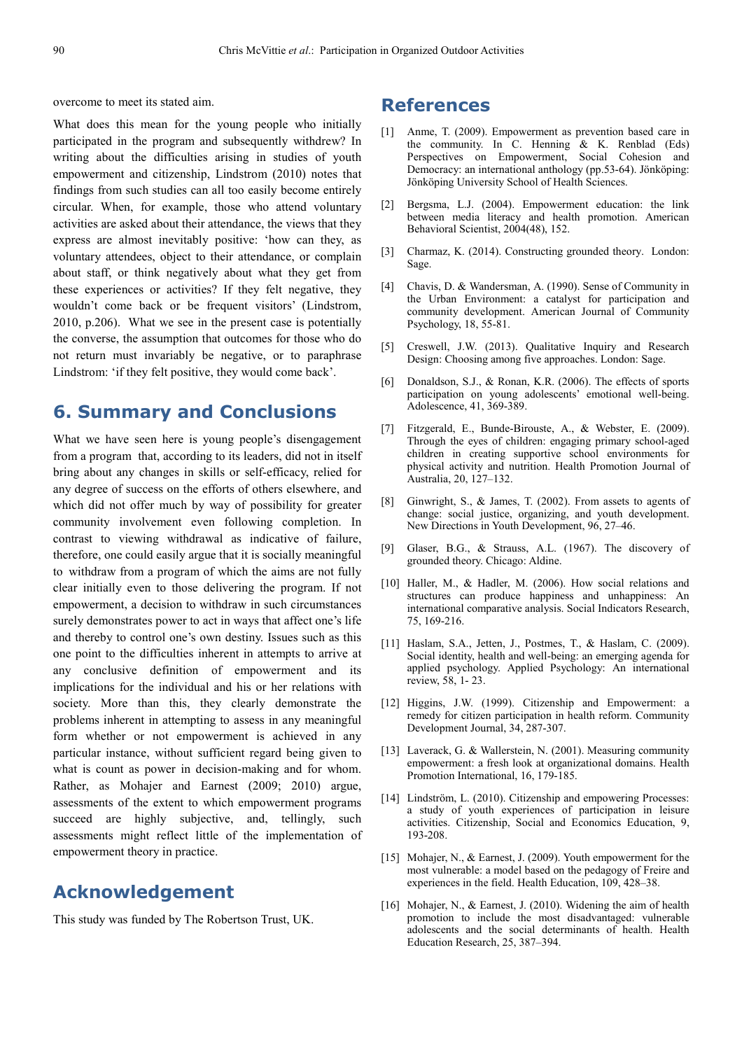overcome to meet its stated aim.

What does this mean for the young people who initially participated in the program and subsequently withdrew? In writing about the difficulties arising in studies of youth empowerment and citizenship, Lindstrom (2010) notes that findings from such studies can all too easily become entirely circular. When, for example, those who attend voluntary activities are asked about their attendance, the views that they express are almost inevitably positive: 'how can they, as voluntary attendees, object to their attendance, or complain about staff, or think negatively about what they get from these experiences or activities? If they felt negative, they wouldn't come back or be frequent visitors' (Lindstrom, 2010, p.206). What we see in the present case is potentially the converse, the assumption that outcomes for those who do not return must invariably be negative, or to paraphrase Lindstrom: 'if they felt positive, they would come back'.

### **6. Summary and Conclusions**

What we have seen here is young people's disengagement from a program that, according to its leaders, did not in itself bring about any changes in skills or self-efficacy, relied for any degree of success on the efforts of others elsewhere, and which did not offer much by way of possibility for greater community involvement even following completion. In contrast to viewing withdrawal as indicative of failure, therefore, one could easily argue that it is socially meaningful to withdraw from a program of which the aims are not fully clear initially even to those delivering the program. If not empowerment, a decision to withdraw in such circumstances surely demonstrates power to act in ways that affect one's life and thereby to control one's own destiny. Issues such as this one point to the difficulties inherent in attempts to arrive at any conclusive definition of empowerment and its implications for the individual and his or her relations with society. More than this, they clearly demonstrate the problems inherent in attempting to assess in any meaningful form whether or not empowerment is achieved in any particular instance, without sufficient regard being given to what is count as power in decision-making and for whom. Rather, as Mohajer and Earnest (2009; 2010) argue, assessments of the extent to which empowerment programs succeed are highly subjective, and, tellingly, such assessments might reflect little of the implementation of empowerment theory in practice.

### **Acknowledgement**

This study was funded by The Robertson Trust, UK.

### **References**

- [1] Anme, T. (2009). Empowerment as prevention based care in the community. In  $C$ . Henning  $\& K$ . Renblad (Eds) Perspectives on Empowerment, Social Cohesion and Democracy: an international anthology (pp.53-64). Jönköping: Jönköping University School of Health Sciences.
- [2] Bergsma, L.J. (2004). Empowerment education: the link between media literacy and health promotion. American Behavioral Scientist, 2004(48), 152.
- [3] Charmaz, K. (2014). Constructing grounded theory. London: Sage.
- [4] Chavis, D. & Wandersman, A. (1990). Sense of Community in the Urban Environment: a catalyst for participation and community development. American Journal of Community Psychology, 18, 55-81.
- [5] Creswell, J.W. (2013). Qualitative Inquiry and Research Design: Choosing among five approaches. London: Sage.
- [6] Donaldson, S.J., & Ronan, K.R. (2006). The effects of sports participation on young adolescents' emotional well-being. Adolescence, 41, 369-389.
- [7] Fitzgerald, E., Bunde-Birouste, A., & Webster, E. (2009). Through the eyes of children: engaging primary school-aged children in creating supportive school environments for physical activity and nutrition. Health Promotion Journal of Australia, 20, 127–132.
- [8] Ginwright, S., & James, T. (2002). From assets to agents of change: social justice, organizing, and youth development. New Directions in Youth Development, 96, 27–46.
- [9] Glaser, B.G., & Strauss, A.L. (1967). The discovery of grounded theory. Chicago: Aldine.
- [10] Haller, M., & Hadler, M. (2006). How social relations and structures can produce happiness and unhappiness: An international comparative analysis. Social Indicators Research, 75, 169-216.
- [11] Haslam, S.A., Jetten, J., Postmes, T., & Haslam, C. (2009). Social identity, health and well-being: an emerging agenda for applied psychology. Applied Psychology: An international review, 58, 1- 23.
- [12] Higgins, J.W. (1999). Citizenship and Empowerment: a remedy for citizen participation in health reform. Community Development Journal, 34, 287-307.
- [13] Laverack, G. & Wallerstein, N. (2001). Measuring community empowerment: a fresh look at organizational domains. Health Promotion International, 16, 179-185.
- [14] Lindström, L. (2010). Citizenship and empowering Processes: a study of youth experiences of participation in leisure activities. Citizenship, Social and Economics Education, 9, 193-208.
- [15] Mohajer, N., & Earnest, J. (2009). Youth empowerment for the most vulnerable: a model based on the pedagogy of Freire and experiences in the field. Health Education, 109, 428–38.
- [16] Mohajer, N., & Earnest, J. (2010). Widening the aim of health promotion to include the most disadvantaged: vulnerable adolescents and the social determinants of health. Health Education Research, 25, 387–394.